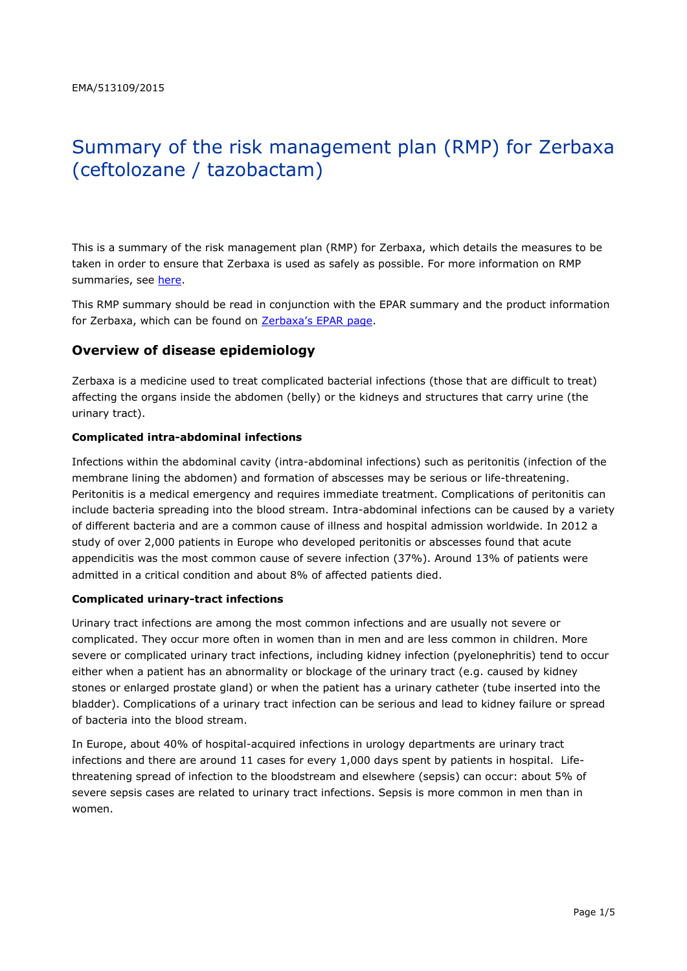# Summary of the risk management plan (RMP) for Zerbaxa (ceftolozane / tazobactam)

This is a summary of the risk management plan (RMP) for Zerbaxa, which details the measures to be taken in order to ensure that Zerbaxa is used as safely as possible. For more information on RMP summaries, see [here.](http://www.ema.europa.eu/docs/en_GB/document_library/Other/2014/05/WC500166101.pdf)

This RMP summary should be read in conjunction with the EPAR summary and the product information for Zerbaxa, which can be found on Zerbaxa['s EPAR page](http://www.ema.europa.eu/ema/index.jsp?curl=/pages/medicines/human/medicines/003772/human_med_001917.jsp).

### **Overview of disease epidemiology**

Zerbaxa is a medicine used to treat complicated bacterial infections (those that are difficult to treat) affecting the organs inside the abdomen (belly) or the kidneys and structures that carry urine (the urinary tract).

#### **Complicated intra-abdominal infections**

Infections within the abdominal cavity (intra-abdominal infections) such as peritonitis (infection of the membrane lining the abdomen) and formation of abscesses may be serious or life-threatening. Peritonitis is a medical emergency and requires immediate treatment. Complications of peritonitis can include bacteria spreading into the blood stream. Intra-abdominal infections can be caused by a variety of different bacteria and are a common cause of illness and hospital admission worldwide. In 2012 a study of over 2,000 patients in Europe who developed peritonitis or abscesses found that acute appendicitis was the most common cause of severe infection (37%). Around 13% of patients were admitted in a critical condition and about 8% of affected patients died.

#### **Complicated urinary-tract infections**

Urinary tract infections are among the most common infections and are usually not severe or complicated. They occur more often in women than in men and are less common in children. More severe or complicated urinary tract infections, including kidney infection (pyelonephritis) tend to occur either when a patient has an abnormality or blockage of the urinary tract (e.g. caused by kidney stones or enlarged prostate gland) or when the patient has a urinary catheter (tube inserted into the bladder). Complications of a urinary tract infection can be serious and lead to kidney failure or spread of bacteria into the blood stream.

In Europe, about 40% of hospital-acquired infections in urology departments are urinary tract infections and there are around 11 cases for every 1,000 days spent by patients in hospital. Lifethreatening spread of infection to the bloodstream and elsewhere (sepsis) can occur: about 5% of severe sepsis cases are related to urinary tract infections. Sepsis is more common in men than in women.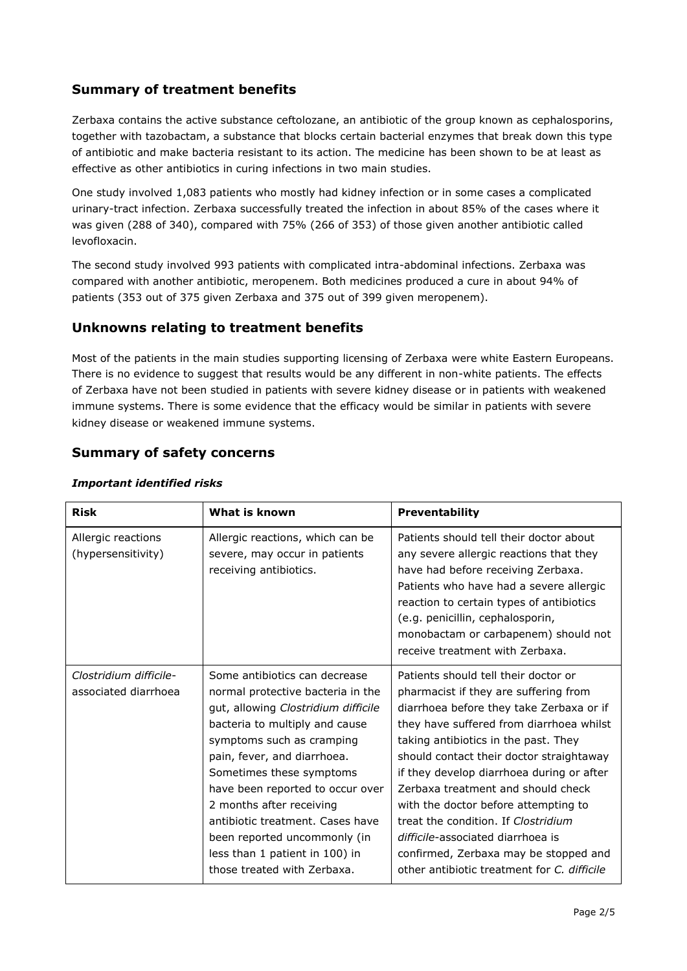# **Summary of treatment benefits**

Zerbaxa contains the active substance ceftolozane, an antibiotic of the group known as cephalosporins, together with tazobactam, a substance that blocks certain bacterial enzymes that break down this type of antibiotic and make bacteria resistant to its action. The medicine has been shown to be at least as effective as other antibiotics in curing infections in two main studies.

One study involved 1,083 patients who mostly had kidney infection or in some cases a complicated urinary-tract infection. Zerbaxa successfully treated the infection in about 85% of the cases where it was given (288 of 340), compared with 75% (266 of 353) of those given another antibiotic called levofloxacin.

The second study involved 993 patients with complicated intra-abdominal infections. Zerbaxa was compared with another antibiotic, meropenem. Both medicines produced a cure in about 94% of patients (353 out of 375 given Zerbaxa and 375 out of 399 given meropenem).

## **Unknowns relating to treatment benefits**

Most of the patients in the main studies supporting licensing of Zerbaxa were white Eastern Europeans. There is no evidence to suggest that results would be any different in non-white patients. The effects of Zerbaxa have not been studied in patients with severe kidney disease or in patients with weakened immune systems. There is some evidence that the efficacy would be similar in patients with severe kidney disease or weakened immune systems.

## **Summary of safety concerns**

| <b>Risk</b>                                    | What is known                                                                                                                                                                                                                                                                                                                                                                                                                            | <b>Preventability</b>                                                                                                                                                                                                                                                                                                                                                                                                                                                                                                                                    |
|------------------------------------------------|------------------------------------------------------------------------------------------------------------------------------------------------------------------------------------------------------------------------------------------------------------------------------------------------------------------------------------------------------------------------------------------------------------------------------------------|----------------------------------------------------------------------------------------------------------------------------------------------------------------------------------------------------------------------------------------------------------------------------------------------------------------------------------------------------------------------------------------------------------------------------------------------------------------------------------------------------------------------------------------------------------|
| Allergic reactions<br>(hypersensitivity)       | Allergic reactions, which can be<br>severe, may occur in patients<br>receiving antibiotics.                                                                                                                                                                                                                                                                                                                                              | Patients should tell their doctor about<br>any severe allergic reactions that they<br>have had before receiving Zerbaxa.<br>Patients who have had a severe allergic<br>reaction to certain types of antibiotics<br>(e.g. penicillin, cephalosporin,<br>monobactam or carbapenem) should not<br>receive treatment with Zerbaxa.                                                                                                                                                                                                                           |
| Clostridium difficile-<br>associated diarrhoea | Some antibiotics can decrease<br>normal protective bacteria in the<br>gut, allowing Clostridium difficile<br>bacteria to multiply and cause<br>symptoms such as cramping<br>pain, fever, and diarrhoea.<br>Sometimes these symptoms<br>have been reported to occur over<br>2 months after receiving<br>antibiotic treatment. Cases have<br>been reported uncommonly (in<br>less than 1 patient in 100) in<br>those treated with Zerbaxa. | Patients should tell their doctor or<br>pharmacist if they are suffering from<br>diarrhoea before they take Zerbaxa or if<br>they have suffered from diarrhoea whilst<br>taking antibiotics in the past. They<br>should contact their doctor straightaway<br>if they develop diarrhoea during or after<br>Zerbaxa treatment and should check<br>with the doctor before attempting to<br>treat the condition. If Clostridium<br>difficile-associated diarrhoea is<br>confirmed, Zerbaxa may be stopped and<br>other antibiotic treatment for C. difficile |

### *Important identified risks*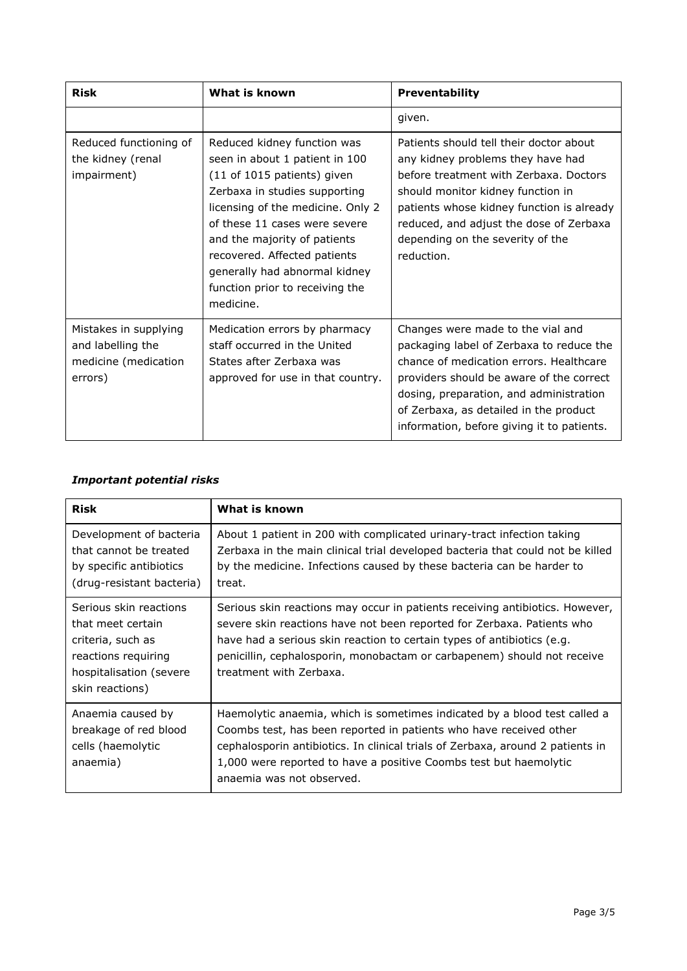| <b>Risk</b>                                                                   | What is known                                                                                                                                                                                                                                                                                                                                        | <b>Preventability</b>                                                                                                                                                                                                                                                                                   |
|-------------------------------------------------------------------------------|------------------------------------------------------------------------------------------------------------------------------------------------------------------------------------------------------------------------------------------------------------------------------------------------------------------------------------------------------|---------------------------------------------------------------------------------------------------------------------------------------------------------------------------------------------------------------------------------------------------------------------------------------------------------|
|                                                                               |                                                                                                                                                                                                                                                                                                                                                      | given.                                                                                                                                                                                                                                                                                                  |
| Reduced functioning of<br>the kidney (renal<br>impairment)                    | Reduced kidney function was<br>seen in about 1 patient in 100<br>(11 of 1015 patients) given<br>Zerbaxa in studies supporting<br>licensing of the medicine. Only 2<br>of these 11 cases were severe<br>and the majority of patients<br>recovered. Affected patients<br>generally had abnormal kidney<br>function prior to receiving the<br>medicine. | Patients should tell their doctor about<br>any kidney problems they have had<br>before treatment with Zerbaxa, Doctors<br>should monitor kidney function in<br>patients whose kidney function is already<br>reduced, and adjust the dose of Zerbaxa<br>depending on the severity of the<br>reduction.   |
| Mistakes in supplying<br>and labelling the<br>medicine (medication<br>errors) | Medication errors by pharmacy<br>staff occurred in the United<br>States after Zerbaxa was<br>approved for use in that country.                                                                                                                                                                                                                       | Changes were made to the vial and<br>packaging label of Zerbaxa to reduce the<br>chance of medication errors. Healthcare<br>providers should be aware of the correct<br>dosing, preparation, and administration<br>of Zerbaxa, as detailed in the product<br>information, before giving it to patients. |

## *Important potential risks*

| <b>Risk</b>                                                                                                                           | What is known                                                                                                                                                                                                                                                                                                                          |
|---------------------------------------------------------------------------------------------------------------------------------------|----------------------------------------------------------------------------------------------------------------------------------------------------------------------------------------------------------------------------------------------------------------------------------------------------------------------------------------|
| Development of bacteria<br>that cannot be treated<br>by specific antibiotics<br>(drug-resistant bacteria)                             | About 1 patient in 200 with complicated urinary-tract infection taking<br>Zerbaxa in the main clinical trial developed bacteria that could not be killed<br>by the medicine. Infections caused by these bacteria can be harder to<br>treat.                                                                                            |
| Serious skin reactions<br>that meet certain<br>criteria, such as<br>reactions requiring<br>hospitalisation (severe<br>skin reactions) | Serious skin reactions may occur in patients receiving antibiotics. However,<br>severe skin reactions have not been reported for Zerbaxa. Patients who<br>have had a serious skin reaction to certain types of antibiotics (e.g.<br>penicillin, cephalosporin, monobactam or carbapenem) should not receive<br>treatment with Zerbaxa. |
| Anaemia caused by<br>breakage of red blood<br>cells (haemolytic<br>anaemia)                                                           | Haemolytic anaemia, which is sometimes indicated by a blood test called a<br>Coombs test, has been reported in patients who have received other<br>cephalosporin antibiotics. In clinical trials of Zerbaxa, around 2 patients in<br>1,000 were reported to have a positive Coombs test but haemolytic<br>anaemia was not observed.    |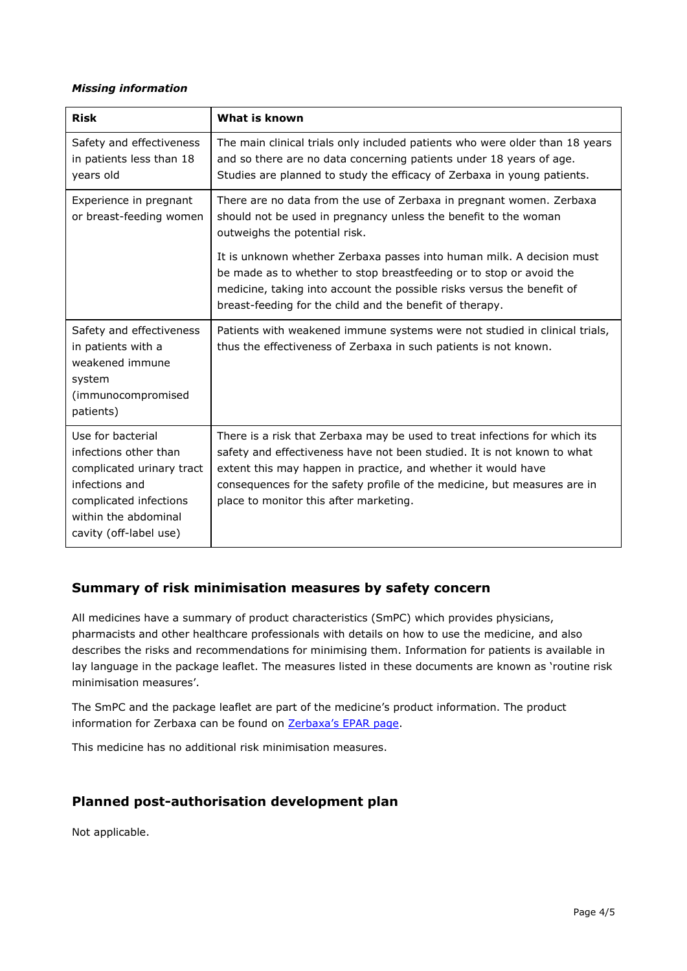#### *Missing information*

| <b>Risk</b>                                                                                                                                                           | What is known                                                                                                                                                                                                                                                                                                                                                                                                                                                  |
|-----------------------------------------------------------------------------------------------------------------------------------------------------------------------|----------------------------------------------------------------------------------------------------------------------------------------------------------------------------------------------------------------------------------------------------------------------------------------------------------------------------------------------------------------------------------------------------------------------------------------------------------------|
| Safety and effectiveness<br>in patients less than 18<br>years old                                                                                                     | The main clinical trials only included patients who were older than 18 years<br>and so there are no data concerning patients under 18 years of age.<br>Studies are planned to study the efficacy of Zerbaxa in young patients.                                                                                                                                                                                                                                 |
| Experience in pregnant<br>or breast-feeding women                                                                                                                     | There are no data from the use of Zerbaxa in pregnant women. Zerbaxa<br>should not be used in pregnancy unless the benefit to the woman<br>outweighs the potential risk.<br>It is unknown whether Zerbaxa passes into human milk. A decision must<br>be made as to whether to stop breastfeeding or to stop or avoid the<br>medicine, taking into account the possible risks versus the benefit of<br>breast-feeding for the child and the benefit of therapy. |
| Safety and effectiveness<br>in patients with a<br>weakened immune<br>system<br>(immunocompromised<br>patients)                                                        | Patients with weakened immune systems were not studied in clinical trials,<br>thus the effectiveness of Zerbaxa in such patients is not known.                                                                                                                                                                                                                                                                                                                 |
| Use for bacterial<br>infections other than<br>complicated urinary tract<br>infections and<br>complicated infections<br>within the abdominal<br>cavity (off-label use) | There is a risk that Zerbaxa may be used to treat infections for which its<br>safety and effectiveness have not been studied. It is not known to what<br>extent this may happen in practice, and whether it would have<br>consequences for the safety profile of the medicine, but measures are in<br>place to monitor this after marketing.                                                                                                                   |

## **Summary of risk minimisation measures by safety concern**

All medicines have a summary of product characteristics (SmPC) which provides physicians, pharmacists and other healthcare professionals with details on how to use the medicine, and also describes the risks and recommendations for minimising them. Information for patients is available in lay language in the package leaflet. The measures listed in these documents are known as 'routine risk minimisation measures'.

The SmPC and the package leaflet are part of the medicine's product information. The product information for Zerbaxa can be found on Zerbaxa['s EPAR page](http://www.ema.europa.eu/ema/index.jsp?curl=/pages/medicines/human/medicines/003772/human_med_001917.jsp).

This medicine has no additional risk minimisation measures.

## **Planned post-authorisation development plan**

Not applicable.